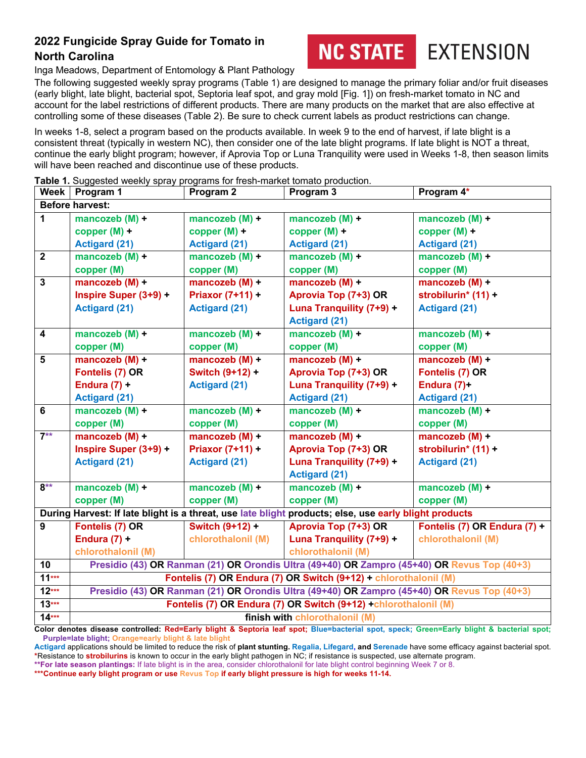## **2022 Fungicide Spray Guide for Tomato in North Carolina**



EXTENSION

Inga Meadows, Department of Entomology & Plant Pathology

The following suggested weekly spray programs (Table 1) are designed to manage the primary foliar and/or fruit diseases (early blight, late blight, bacterial spot, Septoria leaf spot, and gray mold [Fig. 1]) on fresh-market tomato in NC and account for the label restrictions of different products. There are many products on the market that are also effective at controlling some of these diseases (Table 2). Be sure to check current labels as product restrictions can change.

In weeks 1-8, select a program based on the products available. In week 9 to the end of harvest, if late blight is a consistent threat (typically in western NC), then consider one of the late blight programs. If late blight is NOT a threat, continue the early blight program; however, if Aprovia Top or Luna Tranquility were used in Weeks 1-8, then season limits will have been reached and discontinue use of these products.

|                         | Week   Program 1                                                                                      | Program 2            | Program 3                | Program 4*                   |  |  |
|-------------------------|-------------------------------------------------------------------------------------------------------|----------------------|--------------------------|------------------------------|--|--|
| <b>Before harvest:</b>  |                                                                                                       |                      |                          |                              |  |  |
| $\overline{1}$          | mancozeb $(M) +$                                                                                      | mancozeb $(M) +$     | mancozeb $(M) +$         | mancozeb $(M) +$             |  |  |
|                         | $copper(M) +$                                                                                         | copper $(M)$ +       | copper $(M)$ +           | copper $(M)$ +               |  |  |
|                         | <b>Actigard (21)</b>                                                                                  | <b>Actigard (21)</b> | <b>Actigard (21)</b>     | <b>Actigard (21)</b>         |  |  |
| $\overline{2}$          | mancozeb (M) +                                                                                        | mancozeb $(M) +$     | mancozeb $(M) +$         | mancozeb $(M) +$             |  |  |
|                         | copper (M)                                                                                            | copper (M)           | copper (M)               | copper (M)                   |  |  |
| $\mathbf{3}$            | mancozeb (M) +                                                                                        | mancozeb $(M)$ +     | mancozeb (M) +           | mancozeb $(M)$ +             |  |  |
|                         | Inspire Super (3+9) +                                                                                 | Priaxor $(7+11) +$   | Aprovia Top (7+3) OR     | strobilurin* (11) +          |  |  |
|                         | <b>Actigard (21)</b>                                                                                  | <b>Actigard (21)</b> | Luna Tranquility (7+9) + | <b>Actigard (21)</b>         |  |  |
|                         |                                                                                                       |                      | <b>Actigard (21)</b>     |                              |  |  |
| 4                       | mancozeb (M) +                                                                                        | mancozeb $(M) +$     | mancozeb $(M)$ +         | mancozeb $(M) +$             |  |  |
|                         | copper (M)                                                                                            | copper (M)           | copper (M)               | copper (M)                   |  |  |
| $\overline{\mathbf{5}}$ | mancozeb $(M)$ +                                                                                      | mancozeb $(M)$ +     | mancozeb $(M) +$         | mancozeb $(M) +$             |  |  |
|                         | Fontelis (7) OR                                                                                       | Switch (9+12) +      | Aprovia Top (7+3) OR     | Fontelis (7) OR              |  |  |
|                         | Endura $(7) +$                                                                                        | <b>Actigard (21)</b> | Luna Tranquility (7+9) + | Endura $(7)$ +               |  |  |
|                         | <b>Actigard (21)</b>                                                                                  |                      | <b>Actigard (21)</b>     | <b>Actigard (21)</b>         |  |  |
| $6\phantom{1}$          | mancozeb $(M) +$                                                                                      | mancozeb $(M) +$     | mancozeb $(M) +$         | mancozeb $(M) +$             |  |  |
|                         | copper (M)                                                                                            | copper (M)           | copper (M)               | copper (M)                   |  |  |
| $7**$                   | mancozeb (M) +                                                                                        | mancozeb $(M)$ +     | mancozeb $(M) +$         | mancozeb $(M)$ +             |  |  |
|                         | Inspire Super (3+9) +                                                                                 | Priaxor (7+11) +     | Aprovia Top (7+3) OR     | strobilurin* (11) +          |  |  |
|                         | <b>Actigard (21)</b>                                                                                  | <b>Actigard (21)</b> | Luna Tranquility (7+9) + | <b>Actigard (21)</b>         |  |  |
|                         |                                                                                                       |                      | <b>Actigard (21)</b>     |                              |  |  |
| $8**$                   | mancozeb $(M) +$                                                                                      | mancozeb $(M) +$     | mancozeb $(M) +$         | mancozeb $(M) +$             |  |  |
|                         | copper (M)                                                                                            | copper (M)           | copper (M)               | copper (M)                   |  |  |
|                         | During Harvest: If late blight is a threat, use late blight products; else, use early blight products |                      |                          |                              |  |  |
| $\overline{9}$          | Fontelis (7) OR                                                                                       | Switch (9+12) +      | Aprovia Top (7+3) OR     | Fontelis (7) OR Endura (7) + |  |  |
|                         | Endura $(7)$ +                                                                                        | chlorothalonil (M)   | Luna Tranquility (7+9) + | chlorothalonil (M)           |  |  |
|                         | chlorothalonil (M)                                                                                    |                      | chlorothalonil (M)       |                              |  |  |
| 10                      | Presidio (43) OR Ranman (21) OR Orondis Ultra (49+40) OR Zampro (45+40) OR Revus Top (40+3)           |                      |                          |                              |  |  |
| $11***$                 | Fontelis (7) OR Endura (7) OR Switch (9+12) + chlorothalonil (M)                                      |                      |                          |                              |  |  |
| $12***$                 | Presidio (43) OR Ranman (21) OR Orondis Ultra (49+40) OR Zampro (45+40) OR Revus Top (40+3)           |                      |                          |                              |  |  |
| $13***$                 | Fontelis (7) OR Endura (7) OR Switch (9+12) +chlorothalonil (M)                                       |                      |                          |                              |  |  |
| $14***$                 | finish with chlorothalonil (M)                                                                        |                      |                          |                              |  |  |

**Table 1.** Suggested weekly spray programs for fresh-market tomato production.

**Color denotes disease controlled: Red=Early blight & Septoria leaf spot; Blue=bacterial spot, speck; Green=Early blight & bacterial spot; Purple=late blight; Orange=early blight & late blight**

**Actigard** applications should be limited to reduce the risk of **plant stunting. Regalia, Lifegard, and Serenade** have some efficacy against bacterial spot. **\***Resistance to **strobilurins** is known to occur in the early blight pathogen in NC; if resistance is suspected, use alternate program.

**\*\*For late season plantings:** If late blight is in the area, consider chlorothalonil for late blight control beginning Week 7 or 8.

**\*\*\*Continue early blight program or use Revus Top if early blight pressure is high for weeks 11-14.**